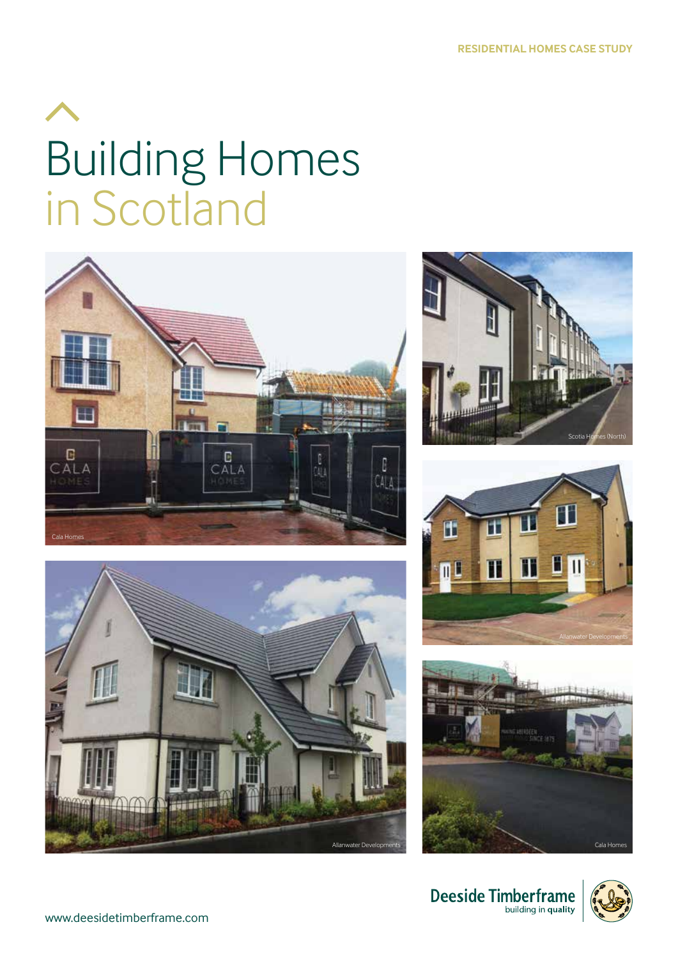## Building Homes in Scotland













Deeside Timberframe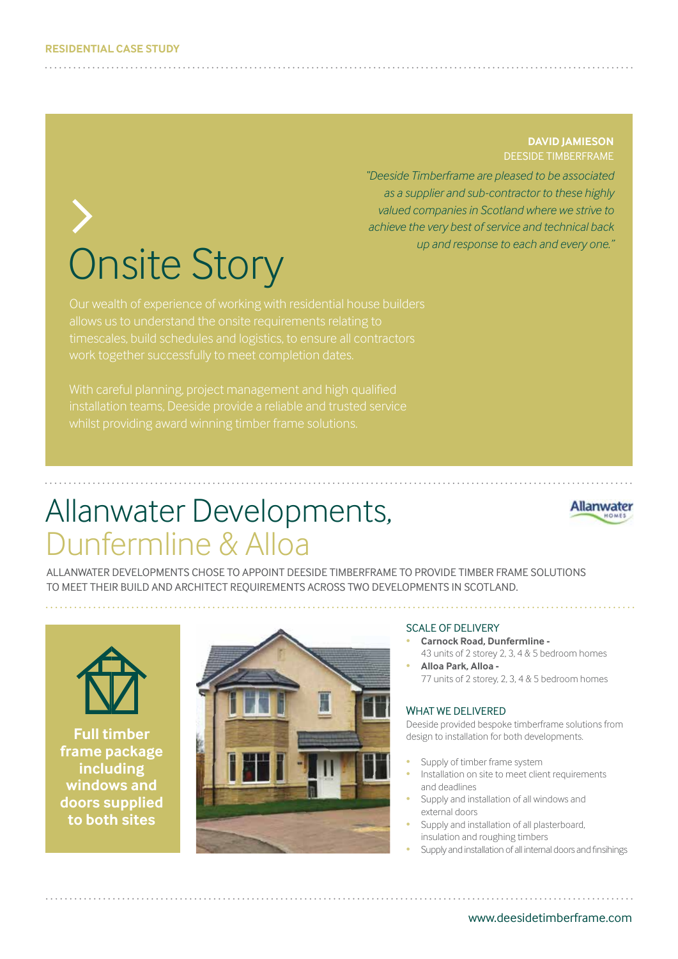# Onsite Story

#### **DAVID JAMIESON** DEESIDE TIMBERFRAME

*"Deeside Timberframe are pleased to be associated as a supplier and sub-contractor to these highly valued companies in Scotland where we strive to achieve the very best of service and technical back up and response to each and every one."*

allows us to understand the onsite requirements relating to work together successfully to meet completion dates.

installation teams, Deeside provide a reliable and trusted service

### Allanwater Developments, Dunfermline & Alloa



ALLANWATER DEVELOPMENTS CHOSE TO APPOINT DEESIDE TIMBERFRAME TO PROVIDE TIMBER FRAME SOLUTIONS TO MEET THEIR BUILD AND ARCHITECT REQUIREMENTS ACROSS TWO DEVELOPMENTS IN SCOTLAND.



**Full timber frame package including windows and doors supplied to both sites**



#### SCALE OF DELIVERY

- **Carnock Road, Dunfermline -** 43 units of 2 storey 2, 3, 4 & 5 bedroom homes
- **Alloa Park, Alloa -** 77 units of 2 storey, 2, 3, 4 & 5 bedroom homes

#### WHAT WE DELIVERED

Deeside provided bespoke timberframe solutions from design to installation for both developments.

- Supply of timber frame system
- Installation on site to meet client requirements and deadlines
- Supply and installation of all windows and external doors
- Supply and installation of all plasterboard, insulation and roughing timbers
- Supply and installation of all internal doors and finsihings

www.deesidetimberframe.com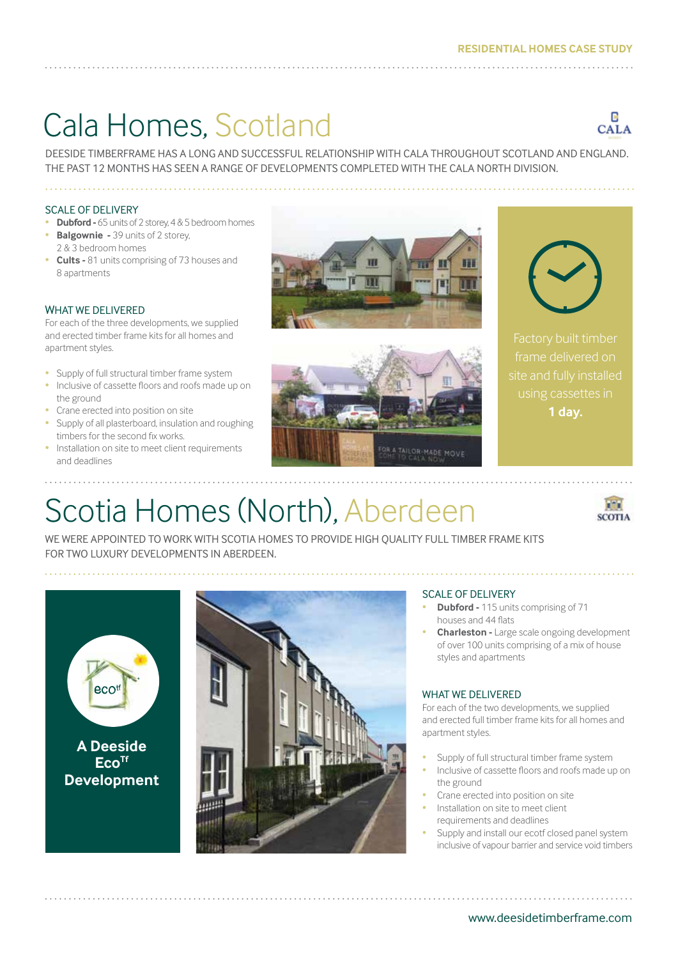### Cala Homes, Scotland



DEESIDE TIMBERFRAME HAS A LONG AND SUCCESSFUL RELATIONSHIP WITH CALA THROUGHOUT SCOTLAND AND ENGLAND. THE PAST 12 MONTHS HAS SEEN A RANGE OF DEVELOPMENTS COMPLETED WITH THE CALA NORTH DIVISION.

#### SCALE OF DELIVERY

- **Dubford -** 65 units of 2 storey, 4 & 5 bedroom homes
- **Balgownie -** 39 units of 2 storey, 2 & 3 bedroom homes
- **Cults -** 81 units comprising of 73 houses and 8 apartments

#### WHAT WE DELIVERED

For each of the three developments, we supplied and erected timber frame kits for all homes and apartment styles.

- Supply of full structural timber frame system
- Inclusive of cassette floors and roofs made up on the ground
- Crane erected into position on site
- Supply of all plasterboard, insulation and roughing timbers for the second fix works.
- Installation on site to meet client requirements and deadlines







frame delivered on using cassettes in **1 day.**

## Scotia Homes (North), Aberdeen



WE WERE APPOINTED TO WORK WITH SCOTIA HOMES TO PROVIDE HIGH QUALITY FULL TIMBER FRAME KITS FOR TWO LUXURY DEVELOPMENTS IN ABERDEEN.





#### SCALE OF DELIVERY

- **Dubford** 115 units comprising of 71 houses and 44 flats
- **Charleston -** Large scale ongoing development of over 100 units comprising of a mix of house styles and apartments

#### WHAT WE DELIVERED

For each of the two developments, we supplied and erected full timber frame kits for all homes and apartment styles.

- Supply of full structural timber frame system
- Inclusive of cassette floors and roofs made up on the ground
- Crane erected into position on site
- Installation on site to meet client requirements and deadlines
- Supply and install our ecotf closed panel system inclusive of vapour barrier and service void timbers

www.deesidetimberframe.com